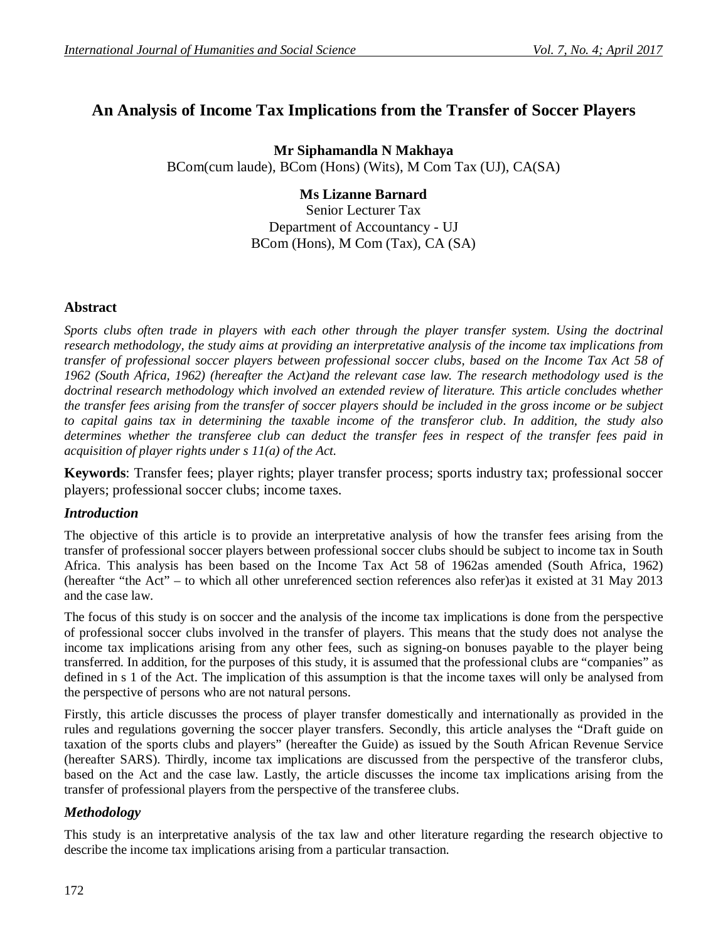# **An Analysis of Income Tax Implications from the Transfer of Soccer Players**

**Mr Siphamandla N Makhaya** BCom(cum laude), BCom (Hons) (Wits), M Com Tax (UJ), CA(SA)

#### **Ms Lizanne Barnard** Senior Lecturer Tax

Department of Accountancy - UJ BCom (Hons), M Com (Tax), CA (SA)

# **Abstract**

*Sports clubs often trade in players with each other through the player transfer system. Using the doctrinal research methodology, the study aims at providing an interpretative analysis of the income tax implications from transfer of professional soccer players between professional soccer clubs, based on the Income Tax Act 58 of 1962 (South Africa, 1962) (hereafter the Act)and the relevant case law. The research methodology used is the doctrinal research methodology which involved an extended review of literature. This article concludes whether the transfer fees arising from the transfer of soccer players should be included in the gross income or be subject to capital gains tax in determining the taxable income of the transferor club. In addition, the study also determines whether the transferee club can deduct the transfer fees in respect of the transfer fees paid in acquisition of player rights under s 11(a) of the Act.*

**Keywords**: Transfer fees; player rights; player transfer process; sports industry tax; professional soccer players; professional soccer clubs; income taxes.

## *Introduction*

The objective of this article is to provide an interpretative analysis of how the transfer fees arising from the transfer of professional soccer players between professional soccer clubs should be subject to income tax in South Africa. This analysis has been based on the Income Tax Act 58 of 1962as amended (South Africa, 1962) (hereafter "the Act" – to which all other unreferenced section references also refer)as it existed at 31 May 2013 and the case law.

The focus of this study is on soccer and the analysis of the income tax implications is done from the perspective of professional soccer clubs involved in the transfer of players. This means that the study does not analyse the income tax implications arising from any other fees, such as signing-on bonuses payable to the player being transferred. In addition, for the purposes of this study, it is assumed that the professional clubs are "companies" as defined in s 1 of the Act. The implication of this assumption is that the income taxes will only be analysed from the perspective of persons who are not natural persons.

Firstly, this article discusses the process of player transfer domestically and internationally as provided in the rules and regulations governing the soccer player transfers. Secondly, this article analyses the "Draft guide on taxation of the sports clubs and players" (hereafter the Guide) as issued by the South African Revenue Service (hereafter SARS). Thirdly, income tax implications are discussed from the perspective of the transferor clubs, based on the Act and the case law. Lastly, the article discusses the income tax implications arising from the transfer of professional players from the perspective of the transferee clubs.

# *Methodology*

This study is an interpretative analysis of the tax law and other literature regarding the research objective to describe the income tax implications arising from a particular transaction.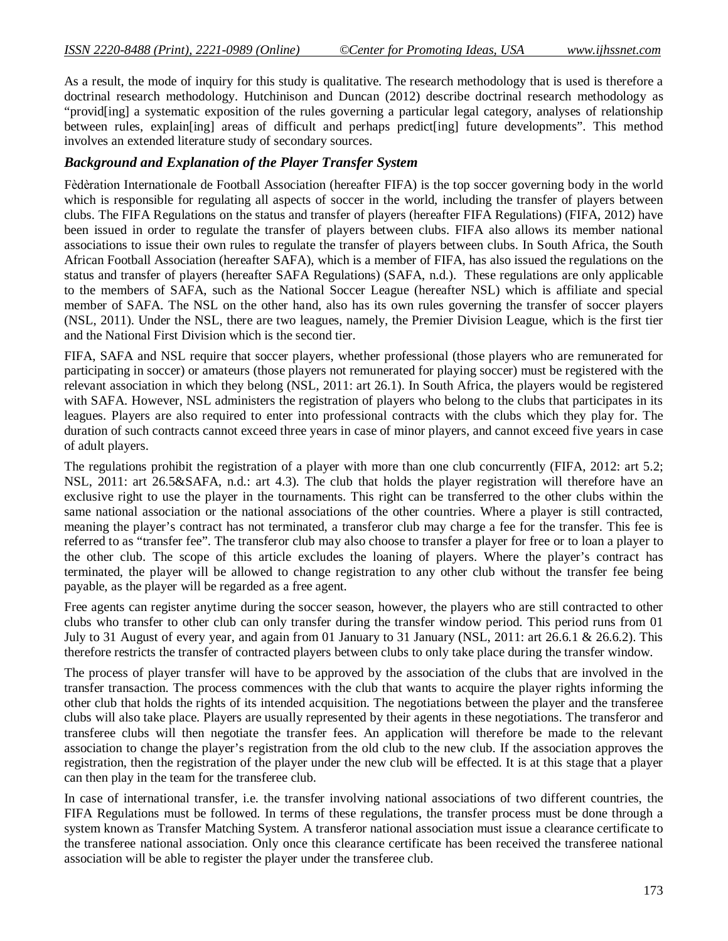As a result, the mode of inquiry for this study is qualitative. The research methodology that is used is therefore a doctrinal research methodology. Hutchinison and Duncan (2012) describe doctrinal research methodology as "provid[ing] a systematic exposition of the rules governing a particular legal category, analyses of relationship between rules, explain[ing] areas of difficult and perhaps predict[ing] future developments". This method involves an extended literature study of secondary sources.

## *Background and Explanation of the Player Transfer System*

Fèdèration Internationale de Football Association (hereafter FIFA) is the top soccer governing body in the world which is responsible for regulating all aspects of soccer in the world, including the transfer of players between clubs. The FIFA Regulations on the status and transfer of players (hereafter FIFA Regulations) (FIFA, 2012) have been issued in order to regulate the transfer of players between clubs. FIFA also allows its member national associations to issue their own rules to regulate the transfer of players between clubs. In South Africa, the South African Football Association (hereafter SAFA), which is a member of FIFA, has also issued the regulations on the status and transfer of players (hereafter SAFA Regulations) (SAFA, n.d.). These regulations are only applicable to the members of SAFA, such as the National Soccer League (hereafter NSL) which is affiliate and special member of SAFA. The NSL on the other hand, also has its own rules governing the transfer of soccer players (NSL, 2011). Under the NSL, there are two leagues, namely, the Premier Division League, which is the first tier and the National First Division which is the second tier.

FIFA, SAFA and NSL require that soccer players, whether professional (those players who are remunerated for participating in soccer) or amateurs (those players not remunerated for playing soccer) must be registered with the relevant association in which they belong (NSL, 2011: art 26.1). In South Africa, the players would be registered with SAFA. However, NSL administers the registration of players who belong to the clubs that participates in its leagues. Players are also required to enter into professional contracts with the clubs which they play for. The duration of such contracts cannot exceed three years in case of minor players, and cannot exceed five years in case of adult players.

The regulations prohibit the registration of a player with more than one club concurrently (FIFA, 2012: art 5.2; NSL, 2011: art 26.5&SAFA, n.d.: art 4.3). The club that holds the player registration will therefore have an exclusive right to use the player in the tournaments. This right can be transferred to the other clubs within the same national association or the national associations of the other countries. Where a player is still contracted, meaning the player's contract has not terminated, a transferor club may charge a fee for the transfer. This fee is referred to as "transfer fee". The transferor club may also choose to transfer a player for free or to loan a player to the other club. The scope of this article excludes the loaning of players. Where the player's contract has terminated, the player will be allowed to change registration to any other club without the transfer fee being payable, as the player will be regarded as a free agent.

Free agents can register anytime during the soccer season, however, the players who are still contracted to other clubs who transfer to other club can only transfer during the transfer window period. This period runs from 01 July to 31 August of every year, and again from 01 January to 31 January (NSL, 2011: art 26.6.1 & 26.6.2). This therefore restricts the transfer of contracted players between clubs to only take place during the transfer window.

The process of player transfer will have to be approved by the association of the clubs that are involved in the transfer transaction. The process commences with the club that wants to acquire the player rights informing the other club that holds the rights of its intended acquisition. The negotiations between the player and the transferee clubs will also take place. Players are usually represented by their agents in these negotiations. The transferor and transferee clubs will then negotiate the transfer fees. An application will therefore be made to the relevant association to change the player's registration from the old club to the new club. If the association approves the registration, then the registration of the player under the new club will be effected. It is at this stage that a player can then play in the team for the transferee club.

In case of international transfer, i.e. the transfer involving national associations of two different countries, the FIFA Regulations must be followed. In terms of these regulations, the transfer process must be done through a system known as Transfer Matching System. A transferor national association must issue a clearance certificate to the transferee national association. Only once this clearance certificate has been received the transferee national association will be able to register the player under the transferee club.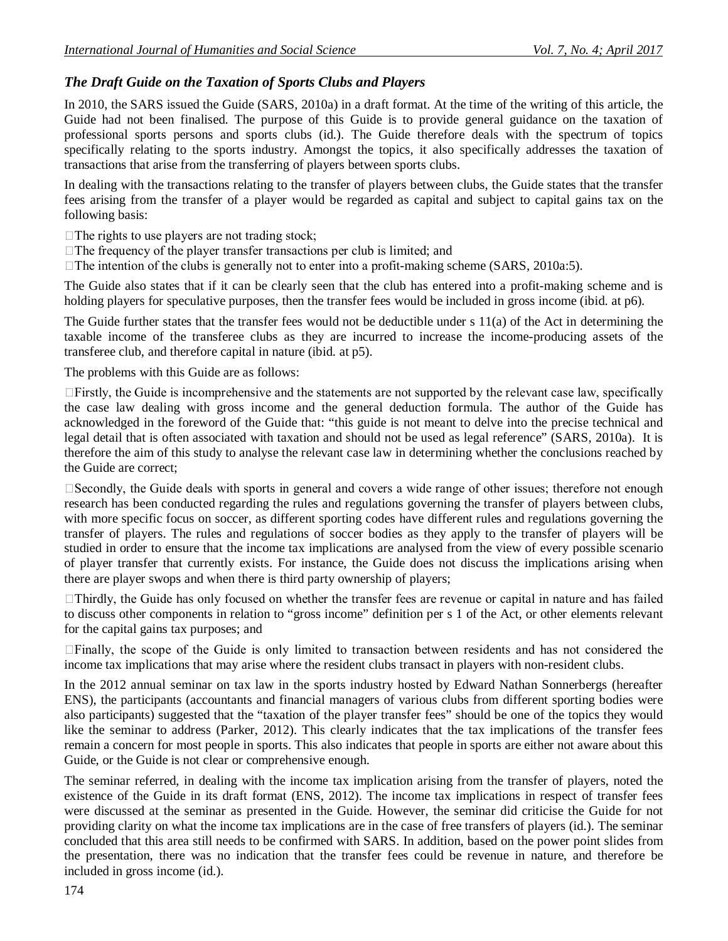# *The Draft Guide on the Taxation of Sports Clubs and Players*

In 2010, the SARS issued the Guide (SARS, 2010a) in a draft format. At the time of the writing of this article, the Guide had not been finalised. The purpose of this Guide is to provide general guidance on the taxation of professional sports persons and sports clubs (id.). The Guide therefore deals with the spectrum of topics specifically relating to the sports industry. Amongst the topics, it also specifically addresses the taxation of transactions that arise from the transferring of players between sports clubs.

In dealing with the transactions relating to the transfer of players between clubs, the Guide states that the transfer fees arising from the transfer of a player would be regarded as capital and subject to capital gains tax on the following basis:

 $\Box$  The rights to use players are not trading stock;

- $\Box$  The frequency of the player transfer transactions per club is limited; and
- $\Box$  The intention of the clubs is generally not to enter into a profit-making scheme (SARS, 2010a:5).

The Guide also states that if it can be clearly seen that the club has entered into a profit-making scheme and is holding players for speculative purposes, then the transfer fees would be included in gross income (ibid. at p6).

The Guide further states that the transfer fees would not be deductible under s 11(a) of the Act in determining the taxable income of the transferee clubs as they are incurred to increase the income-producing assets of the transferee club, and therefore capital in nature (ibid. at p5).

The problems with this Guide are as follows:

 $\Box$  Firstly, the Guide is incomprehensive and the statements are not supported by the relevant case law, specifically the case law dealing with gross income and the general deduction formula. The author of the Guide has acknowledged in the foreword of the Guide that: "this guide is not meant to delve into the precise technical and legal detail that is often associated with taxation and should not be used as legal reference" (SARS, 2010a). It is therefore the aim of this study to analyse the relevant case law in determining whether the conclusions reached by the Guide are correct;

Secondly, the Guide deals with sports in general and covers a wide range of other issues; therefore not enough research has been conducted regarding the rules and regulations governing the transfer of players between clubs, with more specific focus on soccer, as different sporting codes have different rules and regulations governing the transfer of players. The rules and regulations of soccer bodies as they apply to the transfer of players will be studied in order to ensure that the income tax implications are analysed from the view of every possible scenario of player transfer that currently exists. For instance, the Guide does not discuss the implications arising when there are player swops and when there is third party ownership of players;

 $\Box$ Thirdly, the Guide has only focused on whether the transfer fees are revenue or capital in nature and has failed to discuss other components in relation to "gross income" definition per s 1 of the Act, or other elements relevant for the capital gains tax purposes; and

Finally, the scope of the Guide is only limited to transaction between residents and has not considered the income tax implications that may arise where the resident clubs transact in players with non-resident clubs.

In the 2012 annual seminar on tax law in the sports industry hosted by Edward Nathan Sonnerbergs (hereafter ENS), the participants (accountants and financial managers of various clubs from different sporting bodies were also participants) suggested that the "taxation of the player transfer fees" should be one of the topics they would like the seminar to address (Parker, 2012). This clearly indicates that the tax implications of the transfer fees remain a concern for most people in sports. This also indicates that people in sports are either not aware about this Guide, or the Guide is not clear or comprehensive enough.

The seminar referred, in dealing with the income tax implication arising from the transfer of players, noted the existence of the Guide in its draft format (ENS, 2012). The income tax implications in respect of transfer fees were discussed at the seminar as presented in the Guide. However, the seminar did criticise the Guide for not providing clarity on what the income tax implications are in the case of free transfers of players (id.). The seminar concluded that this area still needs to be confirmed with SARS. In addition, based on the power point slides from the presentation, there was no indication that the transfer fees could be revenue in nature, and therefore be included in gross income (id.).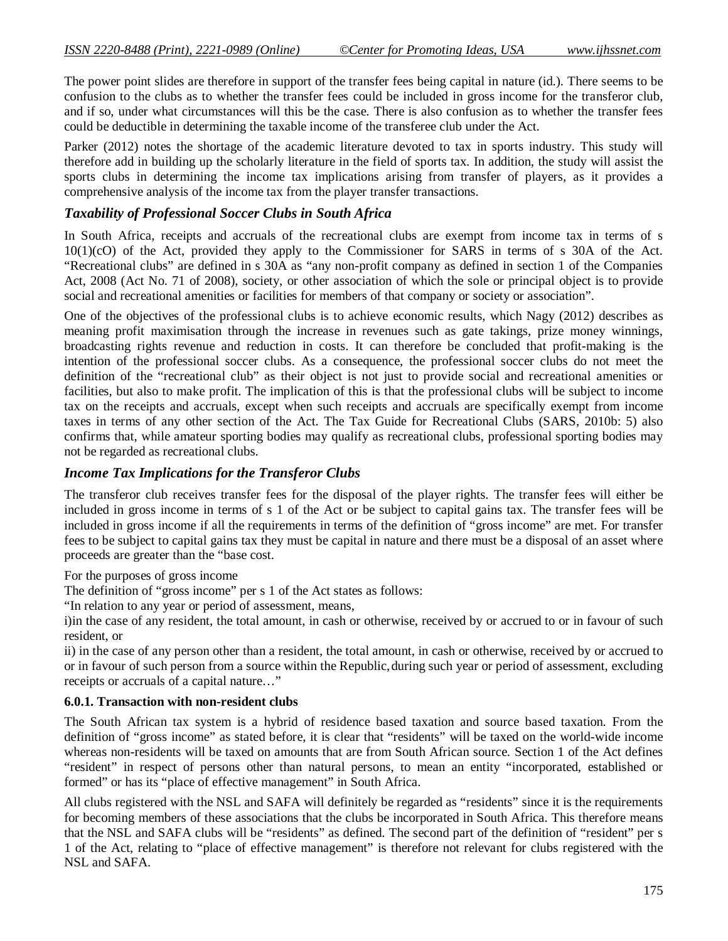The power point slides are therefore in support of the transfer fees being capital in nature (id.). There seems to be confusion to the clubs as to whether the transfer fees could be included in gross income for the transferor club, and if so, under what circumstances will this be the case. There is also confusion as to whether the transfer fees could be deductible in determining the taxable income of the transferee club under the Act.

Parker (2012) notes the shortage of the academic literature devoted to tax in sports industry. This study will therefore add in building up the scholarly literature in the field of sports tax. In addition, the study will assist the sports clubs in determining the income tax implications arising from transfer of players, as it provides a comprehensive analysis of the income tax from the player transfer transactions.

# *Taxability of Professional Soccer Clubs in South Africa*

In South Africa, receipts and accruals of the recreational clubs are exempt from income tax in terms of s 10(1)(cO) of the Act, provided they apply to the Commissioner for SARS in terms of s 30A of the Act. "Recreational clubs" are defined in s 30A as "any non-profit company as defined in section 1 of the Companies Act, 2008 (Act No. 71 of 2008), society, or other association of which the sole or principal object is to provide social and recreational amenities or facilities for members of that company or society or association".

One of the objectives of the professional clubs is to achieve economic results, which Nagy (2012) describes as meaning profit maximisation through the increase in revenues such as gate takings, prize money winnings, broadcasting rights revenue and reduction in costs. It can therefore be concluded that profit-making is the intention of the professional soccer clubs. As a consequence, the professional soccer clubs do not meet the definition of the "recreational club" as their object is not just to provide social and recreational amenities or facilities, but also to make profit. The implication of this is that the professional clubs will be subject to income tax on the receipts and accruals, except when such receipts and accruals are specifically exempt from income taxes in terms of any other section of the Act. The Tax Guide for Recreational Clubs (SARS, 2010b: 5) also confirms that, while amateur sporting bodies may qualify as recreational clubs, professional sporting bodies may not be regarded as recreational clubs.

# *Income Tax Implications for the Transferor Clubs*

The transferor club receives transfer fees for the disposal of the player rights. The transfer fees will either be included in gross income in terms of s 1 of the Act or be subject to capital gains tax. The transfer fees will be included in gross income if all the requirements in terms of the definition of "gross income" are met. For transfer fees to be subject to capital gains tax they must be capital in nature and there must be a disposal of an asset where proceeds are greater than the "base cost.

For the purposes of gross income

The definition of "gross income" per s 1 of the Act states as follows:

"In relation to any year or period of assessment, means,

i)in the case of any resident, the total amount, in cash or otherwise, received by or accrued to or in favour of such resident, or

ii) in the case of any person other than a resident, the total amount, in cash or otherwise, received by or accrued to or in favour of such person from a source within the Republic,during such year or period of assessment, excluding receipts or accruals of a capital nature…"

#### **6.0.1. Transaction with non-resident clubs**

The South African tax system is a hybrid of residence based taxation and source based taxation. From the definition of "gross income" as stated before, it is clear that "residents" will be taxed on the world-wide income whereas non-residents will be taxed on amounts that are from South African source. Section 1 of the Act defines "resident" in respect of persons other than natural persons, to mean an entity "incorporated, established or formed" or has its "place of effective management" in South Africa.

All clubs registered with the NSL and SAFA will definitely be regarded as "residents" since it is the requirements for becoming members of these associations that the clubs be incorporated in South Africa. This therefore means that the NSL and SAFA clubs will be "residents" as defined. The second part of the definition of "resident" per s 1 of the Act, relating to "place of effective management" is therefore not relevant for clubs registered with the NSL and SAFA.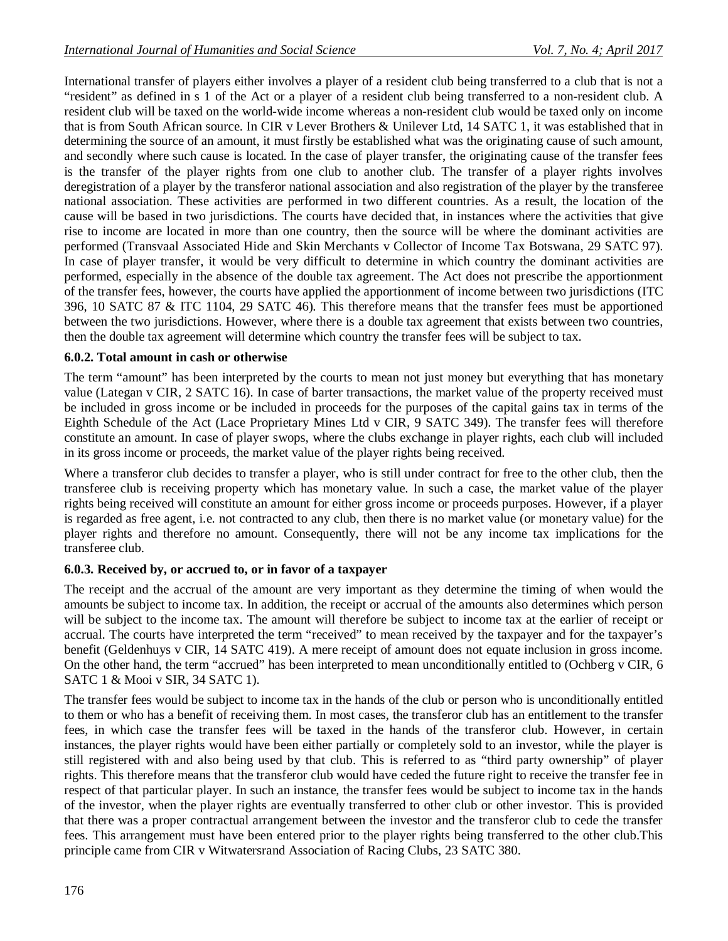International transfer of players either involves a player of a resident club being transferred to a club that is not a "resident" as defined in s 1 of the Act or a player of a resident club being transferred to a non-resident club. A resident club will be taxed on the world-wide income whereas a non-resident club would be taxed only on income that is from South African source. In CIR v Lever Brothers & Unilever Ltd, 14 SATC 1, it was established that in determining the source of an amount, it must firstly be established what was the originating cause of such amount, and secondly where such cause is located. In the case of player transfer, the originating cause of the transfer fees is the transfer of the player rights from one club to another club. The transfer of a player rights involves deregistration of a player by the transferor national association and also registration of the player by the transferee national association. These activities are performed in two different countries. As a result, the location of the cause will be based in two jurisdictions. The courts have decided that, in instances where the activities that give rise to income are located in more than one country, then the source will be where the dominant activities are performed (Transvaal Associated Hide and Skin Merchants v Collector of Income Tax Botswana, 29 SATC 97). In case of player transfer, it would be very difficult to determine in which country the dominant activities are performed, especially in the absence of the double tax agreement. The Act does not prescribe the apportionment of the transfer fees, however, the courts have applied the apportionment of income between two jurisdictions (ITC 396, 10 SATC 87 & ITC 1104, 29 SATC 46). This therefore means that the transfer fees must be apportioned between the two jurisdictions. However, where there is a double tax agreement that exists between two countries, then the double tax agreement will determine which country the transfer fees will be subject to tax.

## **6.0.2. Total amount in cash or otherwise**

The term "amount" has been interpreted by the courts to mean not just money but everything that has monetary value (Lategan v CIR, 2 SATC 16). In case of barter transactions, the market value of the property received must be included in gross income or be included in proceeds for the purposes of the capital gains tax in terms of the Eighth Schedule of the Act (Lace Proprietary Mines Ltd v CIR, 9 SATC 349). The transfer fees will therefore constitute an amount. In case of player swops, where the clubs exchange in player rights, each club will included in its gross income or proceeds, the market value of the player rights being received.

Where a transferor club decides to transfer a player, who is still under contract for free to the other club, then the transferee club is receiving property which has monetary value. In such a case, the market value of the player rights being received will constitute an amount for either gross income or proceeds purposes. However, if a player is regarded as free agent, i.e. not contracted to any club, then there is no market value (or monetary value) for the player rights and therefore no amount. Consequently, there will not be any income tax implications for the transferee club.

## **6.0.3. Received by, or accrued to, or in favor of a taxpayer**

The receipt and the accrual of the amount are very important as they determine the timing of when would the amounts be subject to income tax. In addition, the receipt or accrual of the amounts also determines which person will be subject to the income tax. The amount will therefore be subject to income tax at the earlier of receipt or accrual. The courts have interpreted the term "received" to mean received by the taxpayer and for the taxpayer's benefit (Geldenhuys v CIR, 14 SATC 419). A mere receipt of amount does not equate inclusion in gross income. On the other hand, the term "accrued" has been interpreted to mean unconditionally entitled to (Ochberg v CIR, 6 SATC 1 & Mooi v SIR, 34 SATC 1).

The transfer fees would be subject to income tax in the hands of the club or person who is unconditionally entitled to them or who has a benefit of receiving them. In most cases, the transferor club has an entitlement to the transfer fees, in which case the transfer fees will be taxed in the hands of the transferor club. However, in certain instances, the player rights would have been either partially or completely sold to an investor, while the player is still registered with and also being used by that club. This is referred to as "third party ownership" of player rights. This therefore means that the transferor club would have ceded the future right to receive the transfer fee in respect of that particular player. In such an instance, the transfer fees would be subject to income tax in the hands of the investor, when the player rights are eventually transferred to other club or other investor. This is provided that there was a proper contractual arrangement between the investor and the transferor club to cede the transfer fees. This arrangement must have been entered prior to the player rights being transferred to the other club.This principle came from CIR v Witwatersrand Association of Racing Clubs, 23 SATC 380.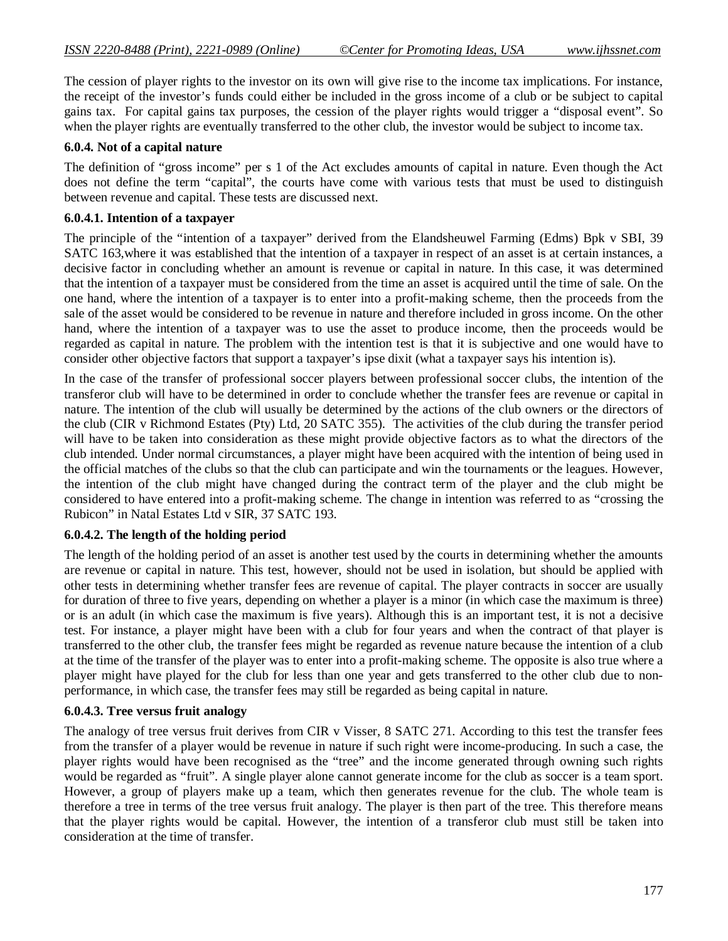The cession of player rights to the investor on its own will give rise to the income tax implications. For instance, the receipt of the investor's funds could either be included in the gross income of a club or be subject to capital gains tax. For capital gains tax purposes, the cession of the player rights would trigger a "disposal event". So when the player rights are eventually transferred to the other club, the investor would be subject to income tax.

#### **6.0.4. Not of a capital nature**

The definition of "gross income" per s 1 of the Act excludes amounts of capital in nature. Even though the Act does not define the term "capital", the courts have come with various tests that must be used to distinguish between revenue and capital. These tests are discussed next.

#### **6.0.4.1. Intention of a taxpayer**

The principle of the "intention of a taxpayer" derived from the Elandsheuwel Farming (Edms) Bpk v SBI, 39 SATC 163,where it was established that the intention of a taxpayer in respect of an asset is at certain instances, a decisive factor in concluding whether an amount is revenue or capital in nature. In this case, it was determined that the intention of a taxpayer must be considered from the time an asset is acquired until the time of sale. On the one hand, where the intention of a taxpayer is to enter into a profit-making scheme, then the proceeds from the sale of the asset would be considered to be revenue in nature and therefore included in gross income. On the other hand, where the intention of a taxpayer was to use the asset to produce income, then the proceeds would be regarded as capital in nature. The problem with the intention test is that it is subjective and one would have to consider other objective factors that support a taxpayer's ipse dixit (what a taxpayer says his intention is).

In the case of the transfer of professional soccer players between professional soccer clubs, the intention of the transferor club will have to be determined in order to conclude whether the transfer fees are revenue or capital in nature. The intention of the club will usually be determined by the actions of the club owners or the directors of the club (CIR v Richmond Estates (Pty) Ltd, 20 SATC 355). The activities of the club during the transfer period will have to be taken into consideration as these might provide objective factors as to what the directors of the club intended. Under normal circumstances, a player might have been acquired with the intention of being used in the official matches of the clubs so that the club can participate and win the tournaments or the leagues. However, the intention of the club might have changed during the contract term of the player and the club might be considered to have entered into a profit-making scheme. The change in intention was referred to as "crossing the Rubicon" in Natal Estates Ltd v SIR, 37 SATC 193.

#### **6.0.4.2. The length of the holding period**

The length of the holding period of an asset is another test used by the courts in determining whether the amounts are revenue or capital in nature. This test, however, should not be used in isolation, but should be applied with other tests in determining whether transfer fees are revenue of capital. The player contracts in soccer are usually for duration of three to five years, depending on whether a player is a minor (in which case the maximum is three) or is an adult (in which case the maximum is five years). Although this is an important test, it is not a decisive test. For instance, a player might have been with a club for four years and when the contract of that player is transferred to the other club, the transfer fees might be regarded as revenue nature because the intention of a club at the time of the transfer of the player was to enter into a profit-making scheme. The opposite is also true where a player might have played for the club for less than one year and gets transferred to the other club due to nonperformance, in which case, the transfer fees may still be regarded as being capital in nature.

#### **6.0.4.3. Tree versus fruit analogy**

The analogy of tree versus fruit derives from CIR v Visser, 8 SATC 271. According to this test the transfer fees from the transfer of a player would be revenue in nature if such right were income-producing. In such a case, the player rights would have been recognised as the "tree" and the income generated through owning such rights would be regarded as "fruit". A single player alone cannot generate income for the club as soccer is a team sport. However, a group of players make up a team, which then generates revenue for the club. The whole team is therefore a tree in terms of the tree versus fruit analogy. The player is then part of the tree. This therefore means that the player rights would be capital. However, the intention of a transferor club must still be taken into consideration at the time of transfer.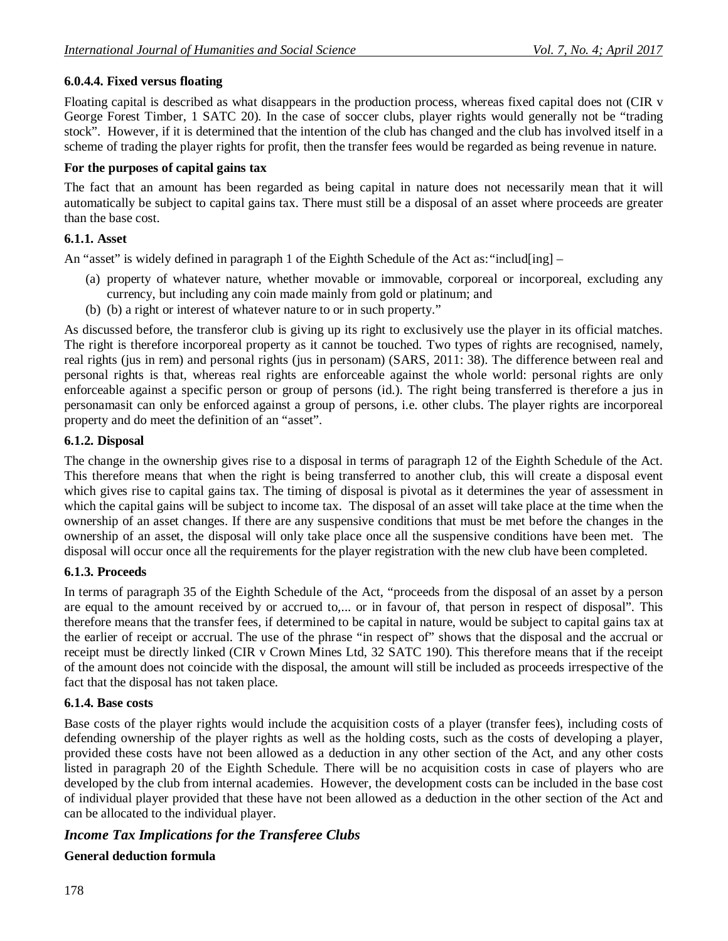# **6.0.4.4. Fixed versus floating**

Floating capital is described as what disappears in the production process, whereas fixed capital does not (CIR v George Forest Timber, 1 SATC 20). In the case of soccer clubs, player rights would generally not be "trading stock". However, if it is determined that the intention of the club has changed and the club has involved itself in a scheme of trading the player rights for profit, then the transfer fees would be regarded as being revenue in nature.

#### **For the purposes of capital gains tax**

The fact that an amount has been regarded as being capital in nature does not necessarily mean that it will automatically be subject to capital gains tax. There must still be a disposal of an asset where proceeds are greater than the base cost.

#### **6.1.1. Asset**

An "asset" is widely defined in paragraph 1 of the Eighth Schedule of the Act as: "includ[ing] –

- (a) property of whatever nature, whether movable or immovable, corporeal or incorporeal, excluding any currency, but including any coin made mainly from gold or platinum; and
- (b) (b) a right or interest of whatever nature to or in such property."

As discussed before, the transferor club is giving up its right to exclusively use the player in its official matches. The right is therefore incorporeal property as it cannot be touched. Two types of rights are recognised, namely, real rights (jus in rem) and personal rights (jus in personam) (SARS, 2011: 38). The difference between real and personal rights is that, whereas real rights are enforceable against the whole world: personal rights are only enforceable against a specific person or group of persons (id.). The right being transferred is therefore a jus in personamasit can only be enforced against a group of persons, i.e. other clubs. The player rights are incorporeal property and do meet the definition of an "asset".

#### **6.1.2. Disposal**

The change in the ownership gives rise to a disposal in terms of paragraph 12 of the Eighth Schedule of the Act. This therefore means that when the right is being transferred to another club, this will create a disposal event which gives rise to capital gains tax. The timing of disposal is pivotal as it determines the year of assessment in which the capital gains will be subject to income tax. The disposal of an asset will take place at the time when the ownership of an asset changes. If there are any suspensive conditions that must be met before the changes in the ownership of an asset, the disposal will only take place once all the suspensive conditions have been met. The disposal will occur once all the requirements for the player registration with the new club have been completed.

## **6.1.3. Proceeds**

In terms of paragraph 35 of the Eighth Schedule of the Act, "proceeds from the disposal of an asset by a person are equal to the amount received by or accrued to,... or in favour of, that person in respect of disposal". This therefore means that the transfer fees, if determined to be capital in nature, would be subject to capital gains tax at the earlier of receipt or accrual. The use of the phrase "in respect of" shows that the disposal and the accrual or receipt must be directly linked (CIR v Crown Mines Ltd, 32 SATC 190). This therefore means that if the receipt of the amount does not coincide with the disposal, the amount will still be included as proceeds irrespective of the fact that the disposal has not taken place.

#### **6.1.4. Base costs**

Base costs of the player rights would include the acquisition costs of a player (transfer fees), including costs of defending ownership of the player rights as well as the holding costs, such as the costs of developing a player, provided these costs have not been allowed as a deduction in any other section of the Act, and any other costs listed in paragraph 20 of the Eighth Schedule. There will be no acquisition costs in case of players who are developed by the club from internal academies. However, the development costs can be included in the base cost of individual player provided that these have not been allowed as a deduction in the other section of the Act and can be allocated to the individual player.

# *Income Tax Implications for the Transferee Clubs*

## **General deduction formula**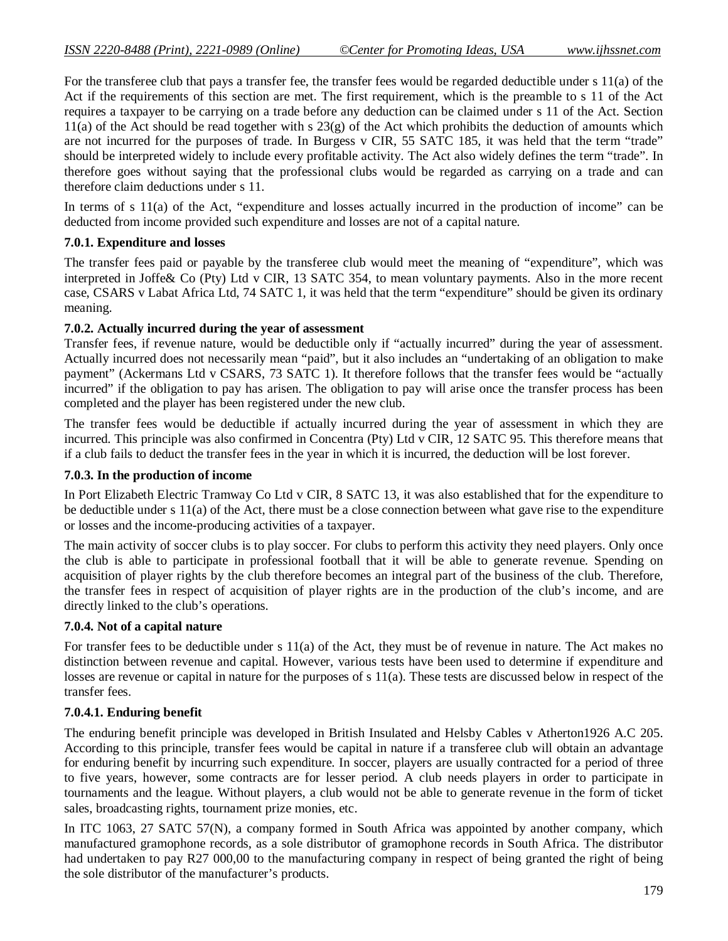For the transferee club that pays a transfer fee, the transfer fees would be regarded deductible under s 11(a) of the Act if the requirements of this section are met. The first requirement, which is the preamble to s 11 of the Act requires a taxpayer to be carrying on a trade before any deduction can be claimed under s 11 of the Act. Section  $11(a)$  of the Act should be read together with s  $23(g)$  of the Act which prohibits the deduction of amounts which are not incurred for the purposes of trade. In Burgess v CIR, 55 SATC 185, it was held that the term "trade" should be interpreted widely to include every profitable activity. The Act also widely defines the term "trade". In therefore goes without saying that the professional clubs would be regarded as carrying on a trade and can therefore claim deductions under s 11.

In terms of s 11(a) of the Act, "expenditure and losses actually incurred in the production of income" can be deducted from income provided such expenditure and losses are not of a capital nature.

## **7.0.1. Expenditure and losses**

The transfer fees paid or payable by the transferee club would meet the meaning of "expenditure", which was interpreted in Joffe& Co (Pty) Ltd v CIR, 13 SATC 354, to mean voluntary payments. Also in the more recent case, CSARS v Labat Africa Ltd, 74 SATC 1, it was held that the term "expenditure" should be given its ordinary meaning.

## **7.0.2. Actually incurred during the year of assessment**

Transfer fees, if revenue nature, would be deductible only if "actually incurred" during the year of assessment. Actually incurred does not necessarily mean "paid", but it also includes an "undertaking of an obligation to make payment" (Ackermans Ltd v CSARS, 73 SATC 1). It therefore follows that the transfer fees would be "actually incurred" if the obligation to pay has arisen. The obligation to pay will arise once the transfer process has been completed and the player has been registered under the new club.

The transfer fees would be deductible if actually incurred during the year of assessment in which they are incurred. This principle was also confirmed in Concentra (Pty) Ltd v CIR, 12 SATC 95. This therefore means that if a club fails to deduct the transfer fees in the year in which it is incurred, the deduction will be lost forever.

#### **7.0.3. In the production of income**

In Port Elizabeth Electric Tramway Co Ltd v CIR, 8 SATC 13, it was also established that for the expenditure to be deductible under s 11(a) of the Act, there must be a close connection between what gave rise to the expenditure or losses and the income-producing activities of a taxpayer.

The main activity of soccer clubs is to play soccer. For clubs to perform this activity they need players. Only once the club is able to participate in professional football that it will be able to generate revenue. Spending on acquisition of player rights by the club therefore becomes an integral part of the business of the club. Therefore, the transfer fees in respect of acquisition of player rights are in the production of the club's income, and are directly linked to the club's operations.

#### **7.0.4. Not of a capital nature**

For transfer fees to be deductible under s 11(a) of the Act, they must be of revenue in nature. The Act makes no distinction between revenue and capital. However, various tests have been used to determine if expenditure and losses are revenue or capital in nature for the purposes of s 11(a). These tests are discussed below in respect of the transfer fees.

## **7.0.4.1. Enduring benefit**

The enduring benefit principle was developed in British Insulated and Helsby Cables v Atherton1926 A.C 205. According to this principle, transfer fees would be capital in nature if a transferee club will obtain an advantage for enduring benefit by incurring such expenditure. In soccer, players are usually contracted for a period of three to five years, however, some contracts are for lesser period. A club needs players in order to participate in tournaments and the league. Without players, a club would not be able to generate revenue in the form of ticket sales, broadcasting rights, tournament prize monies, etc.

In ITC 1063, 27 SATC 57(N), a company formed in South Africa was appointed by another company, which manufactured gramophone records, as a sole distributor of gramophone records in South Africa. The distributor had undertaken to pay R27 000,00 to the manufacturing company in respect of being granted the right of being the sole distributor of the manufacturer's products.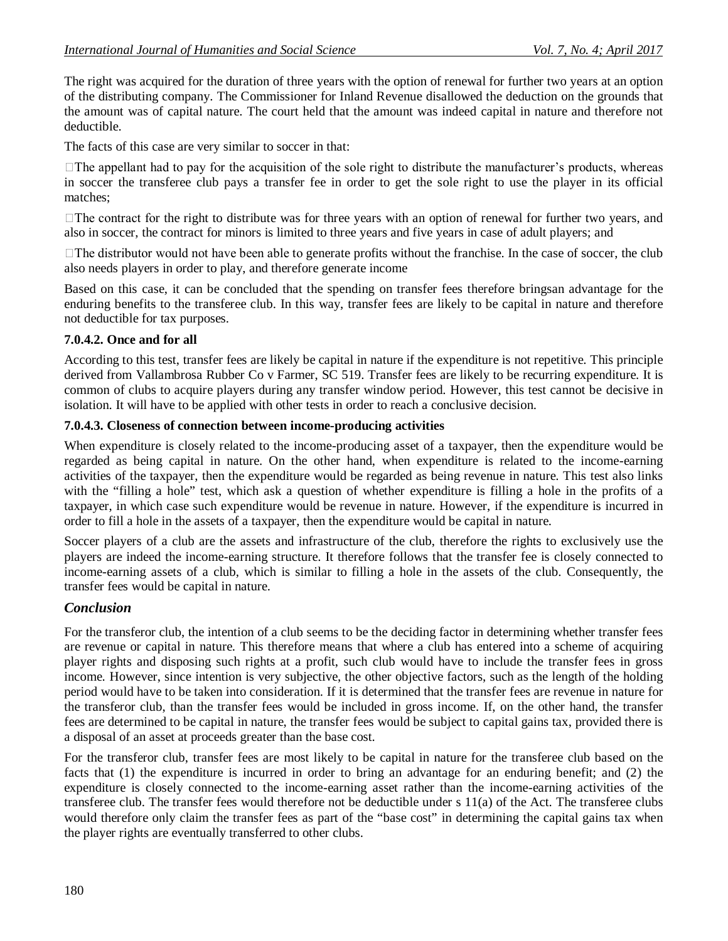The right was acquired for the duration of three years with the option of renewal for further two years at an option of the distributing company. The Commissioner for Inland Revenue disallowed the deduction on the grounds that the amount was of capital nature. The court held that the amount was indeed capital in nature and therefore not deductible.

The facts of this case are very similar to soccer in that:

 $\Box$  The appellant had to pay for the acquisition of the sole right to distribute the manufacturer's products, whereas in soccer the transferee club pays a transfer fee in order to get the sole right to use the player in its official matches;

 $\Box$  The contract for the right to distribute was for three years with an option of renewal for further two years, and also in soccer, the contract for minors is limited to three years and five years in case of adult players; and

 $\Box$  The distributor would not have been able to generate profits without the franchise. In the case of soccer, the club also needs players in order to play, and therefore generate income

Based on this case, it can be concluded that the spending on transfer fees therefore bringsan advantage for the enduring benefits to the transferee club. In this way, transfer fees are likely to be capital in nature and therefore not deductible for tax purposes.

## **7.0.4.2. Once and for all**

According to this test, transfer fees are likely be capital in nature if the expenditure is not repetitive. This principle derived from Vallambrosa Rubber Co v Farmer, SC 519. Transfer fees are likely to be recurring expenditure. It is common of clubs to acquire players during any transfer window period. However, this test cannot be decisive in isolation. It will have to be applied with other tests in order to reach a conclusive decision.

#### **7.0.4.3. Closeness of connection between income-producing activities**

When expenditure is closely related to the income-producing asset of a taxpayer, then the expenditure would be regarded as being capital in nature. On the other hand, when expenditure is related to the income-earning activities of the taxpayer, then the expenditure would be regarded as being revenue in nature. This test also links with the "filling a hole" test, which ask a question of whether expenditure is filling a hole in the profits of a taxpayer, in which case such expenditure would be revenue in nature. However, if the expenditure is incurred in order to fill a hole in the assets of a taxpayer, then the expenditure would be capital in nature.

Soccer players of a club are the assets and infrastructure of the club, therefore the rights to exclusively use the players are indeed the income-earning structure. It therefore follows that the transfer fee is closely connected to income-earning assets of a club, which is similar to filling a hole in the assets of the club. Consequently, the transfer fees would be capital in nature.

## *Conclusion*

For the transferor club, the intention of a club seems to be the deciding factor in determining whether transfer fees are revenue or capital in nature. This therefore means that where a club has entered into a scheme of acquiring player rights and disposing such rights at a profit, such club would have to include the transfer fees in gross income. However, since intention is very subjective, the other objective factors, such as the length of the holding period would have to be taken into consideration. If it is determined that the transfer fees are revenue in nature for the transferor club, than the transfer fees would be included in gross income. If, on the other hand, the transfer fees are determined to be capital in nature, the transfer fees would be subject to capital gains tax, provided there is a disposal of an asset at proceeds greater than the base cost.

For the transferor club, transfer fees are most likely to be capital in nature for the transferee club based on the facts that (1) the expenditure is incurred in order to bring an advantage for an enduring benefit; and (2) the expenditure is closely connected to the income-earning asset rather than the income-earning activities of the transferee club. The transfer fees would therefore not be deductible under s 11(a) of the Act. The transferee clubs would therefore only claim the transfer fees as part of the "base cost" in determining the capital gains tax when the player rights are eventually transferred to other clubs.